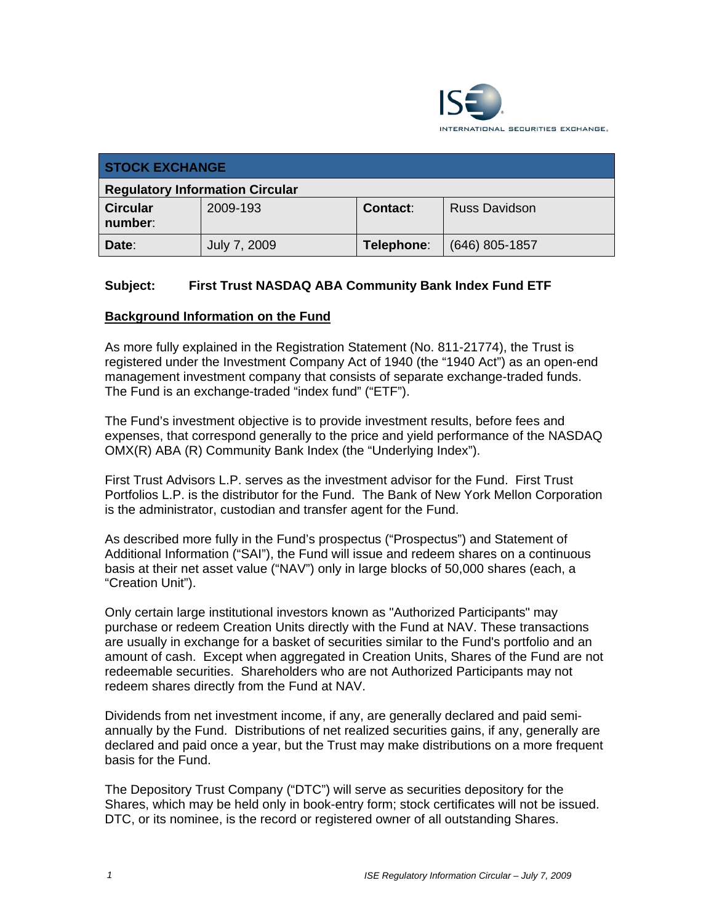

| <b>STOCK EXCHANGE</b>                  |              |                 |                  |  |  |
|----------------------------------------|--------------|-----------------|------------------|--|--|
| <b>Regulatory Information Circular</b> |              |                 |                  |  |  |
| <b>Circular</b><br>number:             | 2009-193     | <b>Contact:</b> | Russ Davidson    |  |  |
| Date:                                  | July 7, 2009 | Telephone:      | $(646)$ 805-1857 |  |  |

## **Subject: First Trust NASDAQ ABA Community Bank Index Fund ETF**

#### **Background Information on the Fund**

As more fully explained in the Registration Statement (No. 811-21774), the Trust is registered under the Investment Company Act of 1940 (the "1940 Act") as an open-end management investment company that consists of separate exchange-traded funds. The Fund is an exchange-traded "index fund" ("ETF").

The Fund's investment objective is to provide investment results, before fees and expenses, that correspond generally to the price and yield performance of the NASDAQ OMX(R) ABA (R) Community Bank Index (the "Underlying Index").

First Trust Advisors L.P. serves as the investment advisor for the Fund. First Trust Portfolios L.P. is the distributor for the Fund. The Bank of New York Mellon Corporation is the administrator, custodian and transfer agent for the Fund.

As described more fully in the Fund's prospectus ("Prospectus") and Statement of Additional Information ("SAI"), the Fund will issue and redeem shares on a continuous basis at their net asset value ("NAV") only in large blocks of 50,000 shares (each, a "Creation Unit").

Only certain large institutional investors known as "Authorized Participants" may purchase or redeem Creation Units directly with the Fund at NAV. These transactions are usually in exchange for a basket of securities similar to the Fund's portfolio and an amount of cash. Except when aggregated in Creation Units, Shares of the Fund are not redeemable securities. Shareholders who are not Authorized Participants may not redeem shares directly from the Fund at NAV.

Dividends from net investment income, if any, are generally declared and paid semiannually by the Fund. Distributions of net realized securities gains, if any, generally are declared and paid once a year, but the Trust may make distributions on a more frequent basis for the Fund.

The Depository Trust Company ("DTC") will serve as securities depository for the Shares, which may be held only in book-entry form; stock certificates will not be issued. DTC, or its nominee, is the record or registered owner of all outstanding Shares.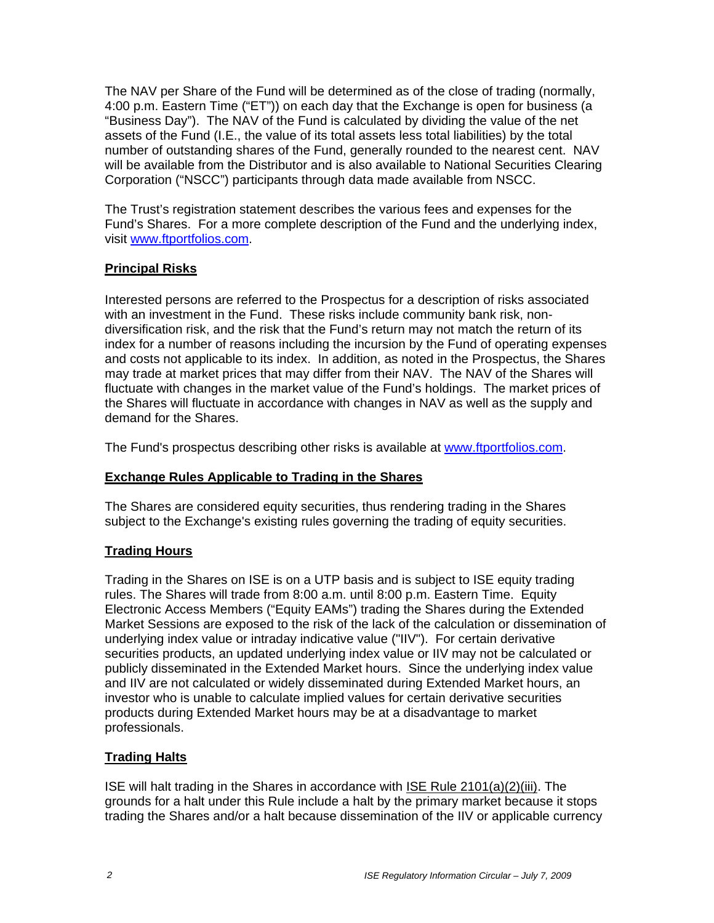The NAV per Share of the Fund will be determined as of the close of trading (normally, 4:00 p.m. Eastern Time ("ET")) on each day that the Exchange is open for business (a "Business Day"). The NAV of the Fund is calculated by dividing the value of the net assets of the Fund (I.E., the value of its total assets less total liabilities) by the total number of outstanding shares of the Fund, generally rounded to the nearest cent. NAV will be available from the Distributor and is also available to National Securities Clearing Corporation ("NSCC") participants through data made available from NSCC.

The Trust's registration statement describes the various fees and expenses for the Fund's Shares. For a more complete description of the Fund and the underlying index, visit www.ftportfolios.com.

## **Principal Risks**

Interested persons are referred to the Prospectus for a description of risks associated with an investment in the Fund. These risks include community bank risk, nondiversification risk, and the risk that the Fund's return may not match the return of its index for a number of reasons including the incursion by the Fund of operating expenses and costs not applicable to its index. In addition, as noted in the Prospectus, the Shares may trade at market prices that may differ from their NAV. The NAV of the Shares will fluctuate with changes in the market value of the Fund's holdings. The market prices of the Shares will fluctuate in accordance with changes in NAV as well as the supply and demand for the Shares.

The Fund's prospectus describing other risks is available at www.ftportfolios.com.

# **Exchange Rules Applicable to Trading in the Shares**

The Shares are considered equity securities, thus rendering trading in the Shares subject to the Exchange's existing rules governing the trading of equity securities.

# **Trading Hours**

Trading in the Shares on ISE is on a UTP basis and is subject to ISE equity trading rules. The Shares will trade from 8:00 a.m. until 8:00 p.m. Eastern Time. Equity Electronic Access Members ("Equity EAMs") trading the Shares during the Extended Market Sessions are exposed to the risk of the lack of the calculation or dissemination of underlying index value or intraday indicative value ("IIV"). For certain derivative securities products, an updated underlying index value or IIV may not be calculated or publicly disseminated in the Extended Market hours. Since the underlying index value and IIV are not calculated or widely disseminated during Extended Market hours, an investor who is unable to calculate implied values for certain derivative securities products during Extended Market hours may be at a disadvantage to market professionals.

# **Trading Halts**

ISE will halt trading in the Shares in accordance with ISE Rule 2101(a)(2)(iii). The grounds for a halt under this Rule include a halt by the primary market because it stops trading the Shares and/or a halt because dissemination of the IIV or applicable currency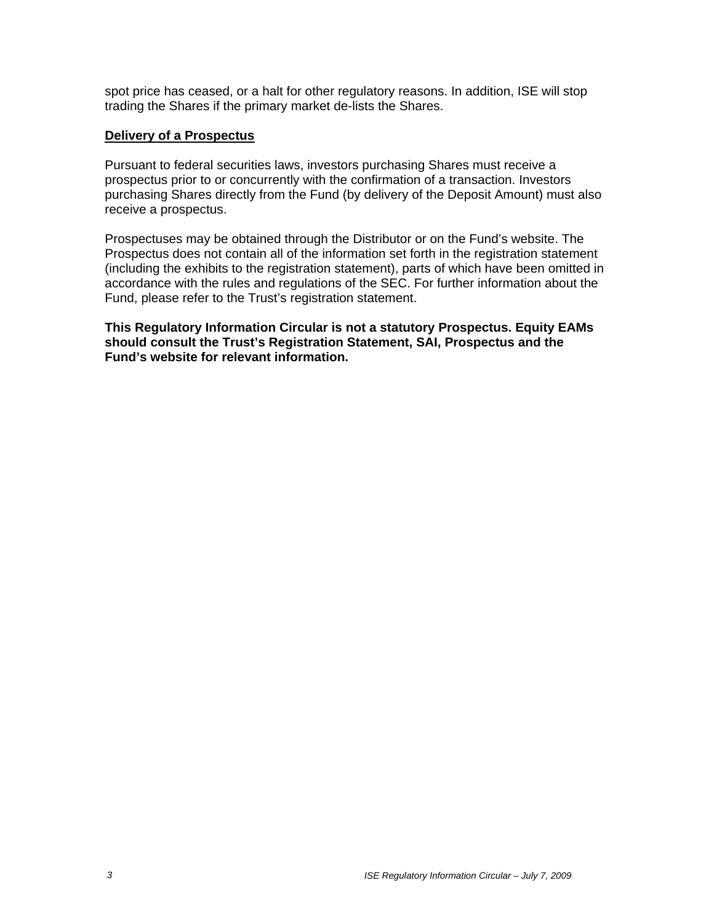spot price has ceased, or a halt for other regulatory reasons. In addition, ISE will stop trading the Shares if the primary market de-lists the Shares.

#### **Delivery of a Prospectus**

Pursuant to federal securities laws, investors purchasing Shares must receive a prospectus prior to or concurrently with the confirmation of a transaction. Investors purchasing Shares directly from the Fund (by delivery of the Deposit Amount) must also receive a prospectus.

Prospectuses may be obtained through the Distributor or on the Fund's website. The Prospectus does not contain all of the information set forth in the registration statement (including the exhibits to the registration statement), parts of which have been omitted in accordance with the rules and regulations of the SEC. For further information about the Fund, please refer to the Trust's registration statement.

**This Regulatory Information Circular is not a statutory Prospectus. Equity EAMs should consult the Trust's Registration Statement, SAI, Prospectus and the Fund's website for relevant information.**